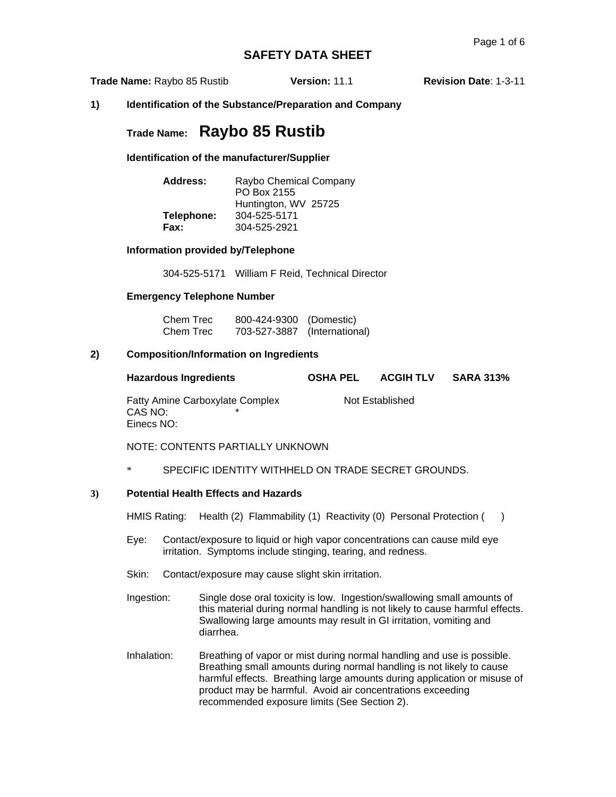**Trade Name:** Raybo 85 Rustib **Version:** 11.1 **Revision Date**: 1-3-11

### **1) Identification of the Substance/Preparation and Company**

# **Trade Name: Raybo 85 Rustib**

**Identification of the manufacturer/Supplier** 

| Address:   | Raybo Chemical Company<br>PO Box 2155 |
|------------|---------------------------------------|
|            | Huntington, WV 25725                  |
| Telephone: | 304-525-5171                          |
| Fax:       | 304-525-2921                          |

**Information provided by/Telephone** 

304-525-5171 William F Reid, Technical Director

#### **Emergency Telephone Number**

| Chem Trec | 800-424-9300 (Domestic)      |  |
|-----------|------------------------------|--|
| Chem Trec | 703-527-3887 (International) |  |

#### **2) Composition/Information on Ingredients**

| <b>Hazardous Ingredients</b>                             | <b>OSHA PEL</b> | <b>ACGIH TLV</b> | <b>SARA 313%</b> |
|----------------------------------------------------------|-----------------|------------------|------------------|
| Fatty Amine Carboxylate Complex<br>CAS NO:<br>Einecs NO: |                 | Not Established  |                  |

NOTE: CONTENTS PARTIALLY UNKNOWN

\* SPECIFIC IDENTITY WITHHELD ON TRADE SECRET GROUNDS.

### **3) Potential Health Effects and Hazards**

HMIS Rating: Health (2) Flammability (1) Reactivity (0) Personal Protection ()

- Eye: Contact/exposure to liquid or high vapor concentrations can cause mild eye irritation. Symptoms include stinging, tearing, and redness.
- Skin: Contact/exposure may cause slight skin irritation.
- Ingestion: Single dose oral toxicity is low. Ingestion/swallowing small amounts of this material during normal handling is not likely to cause harmful effects. Swallowing large amounts may result in GI irritation, vomiting and diarrhea.
- Inhalation: Breathing of vapor or mist during normal handling and use is possible. Breathing small amounts during normal handling is not likely to cause harmful effects. Breathing large amounts during application or misuse of product may be harmful. Avoid air concentrations exceeding recommended exposure limits (See Section 2).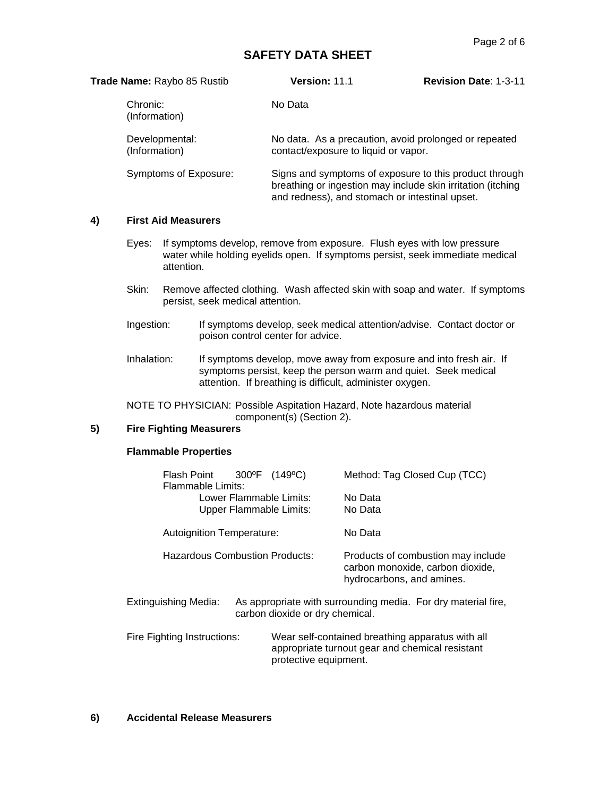| Trade Name: Raybo 85 Rustib     | <b>Version: 11.1</b>                           | <b>Revision Date: 1-3-11</b>                                                                                          |
|---------------------------------|------------------------------------------------|-----------------------------------------------------------------------------------------------------------------------|
| Chronic:<br>(Information)       | No Data                                        |                                                                                                                       |
| Developmental:<br>(Information) | contact/exposure to liquid or vapor.           | No data. As a precaution, avoid prolonged or repeated                                                                 |
| Symptoms of Exposure:           | and redness), and stomach or intestinal upset. | Signs and symptoms of exposure to this product through<br>breathing or ingestion may include skin irritation (itching |

### **4) First Aid Measurers**

- Eyes: If symptoms develop, remove from exposure. Flush eyes with low pressure water while holding eyelids open. If symptoms persist, seek immediate medical attention.
- Skin: Remove affected clothing. Wash affected skin with soap and water. If symptoms persist, seek medical attention.
- Ingestion: If symptoms develop, seek medical attention/advise. Contact doctor or poison control center for advice.
- Inhalation: If symptoms develop, move away from exposure and into fresh air. If symptoms persist, keep the person warm and quiet. Seek medical attention. If breathing is difficult, administer oxygen.

NOTE TO PHYSICIAN: Possible Aspitation Hazard, Note hazardous material component(s) (Section 2).

### **5) Fire Fighting Measurers**

## **Flammable Properties**

| Flash Point<br>Flammable Limits:      | $300^{\circ}$ F | $(149^{\circ}C)$                                          | Method: Tag Closed Cup (TCC)                                                                        |
|---------------------------------------|-----------------|-----------------------------------------------------------|-----------------------------------------------------------------------------------------------------|
|                                       |                 | Lower Flammable Limits:<br><b>Upper Flammable Limits:</b> | No Data<br>No Data                                                                                  |
| Autoignition Temperature:             |                 |                                                           | No Data                                                                                             |
| <b>Hazardous Combustion Products:</b> |                 |                                                           | Products of combustion may include<br>carbon monoxide, carbon dioxide,<br>hydrocarbons, and amines. |
| Extinguishing Media:                  |                 | carbon dioxide or dry chemical.                           | As appropriate with surrounding media. For dry material fire,                                       |

Fire Fighting Instructions: Wear self-contained breathing apparatus with all appropriate turnout gear and chemical resistant protective equipment.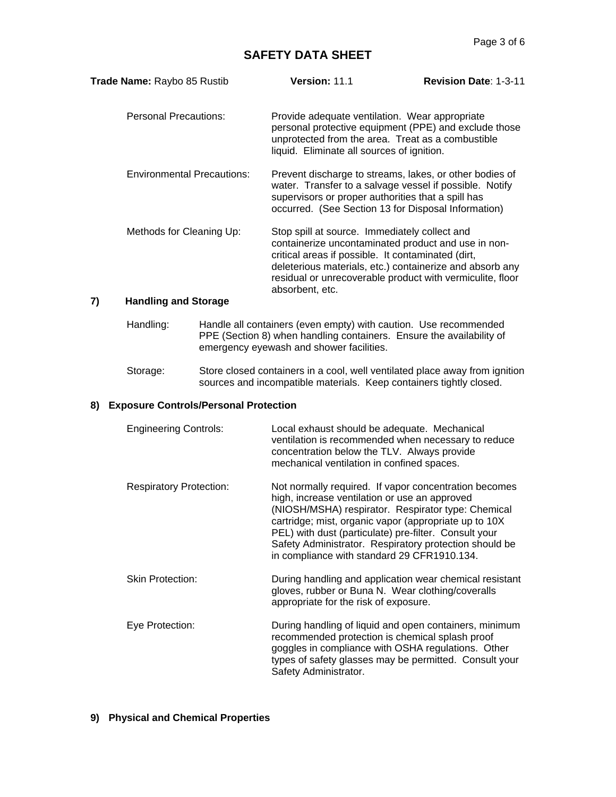| Trade Name: Raybo 85 Rustib       | Version: 11.1                                                                                                                                                                                                                   | <b>Revision Date: 1-3-11</b>                          |
|-----------------------------------|---------------------------------------------------------------------------------------------------------------------------------------------------------------------------------------------------------------------------------|-------------------------------------------------------|
| Personal Precautions:             | Provide adequate ventilation. Wear appropriate<br>unprotected from the area. Treat as a combustible<br>liquid. Eliminate all sources of ignition.                                                                               | personal protective equipment (PPE) and exclude those |
| <b>Environmental Precautions:</b> | Prevent discharge to streams, lakes, or other bodies of<br>water. Transfer to a salvage vessel if possible. Notify<br>supervisors or proper authorities that a spill has<br>occurred. (See Section 13 for Disposal Information) |                                                       |
| Methods for Cleaning Up:          | Stop spill at source. Immediately collect and                                                                                                                                                                                   |                                                       |

Methods for Cleaning Up: Stop spill at source. Immediately collect and containerize uncontaminated product and use in noncritical areas if possible. It contaminated (dirt, deleterious materials, etc.) containerize and absorb any residual or unrecoverable product with vermiculite, floor absorbent, etc.

## **7) Handling and Storage**

- Handling: Handle all containers (even empty) with caution. Use recommended PPE (Section 8) when handling containers. Ensure the availability of emergency eyewash and shower facilities.
- Storage: Store closed containers in a cool, well ventilated place away from ignition sources and incompatible materials. Keep containers tightly closed.

#### **8) Exposure Controls/Personal Protection**

| <b>Engineering Controls:</b>   | Local exhaust should be adequate. Mechanical<br>ventilation is recommended when necessary to reduce<br>concentration below the TLV. Always provide<br>mechanical ventilation in confined spaces.                                                                                                                                                                                        |
|--------------------------------|-----------------------------------------------------------------------------------------------------------------------------------------------------------------------------------------------------------------------------------------------------------------------------------------------------------------------------------------------------------------------------------------|
| <b>Respiratory Protection:</b> | Not normally required. If vapor concentration becomes<br>high, increase ventilation or use an approved<br>(NIOSH/MSHA) respirator. Respirator type: Chemical<br>cartridge; mist, organic vapor (appropriate up to 10X<br>PEL) with dust (particulate) pre-filter. Consult your<br>Safety Administrator. Respiratory protection should be<br>in compliance with standard 29 CFR1910.134. |
| <b>Skin Protection:</b>        | During handling and application wear chemical resistant<br>gloves, rubber or Buna N. Wear clothing/coveralls<br>appropriate for the risk of exposure.                                                                                                                                                                                                                                   |
| Eye Protection:                | During handling of liquid and open containers, minimum<br>recommended protection is chemical splash proof<br>goggles in compliance with OSHA regulations. Other<br>types of safety glasses may be permitted. Consult your<br>Safety Administrator.                                                                                                                                      |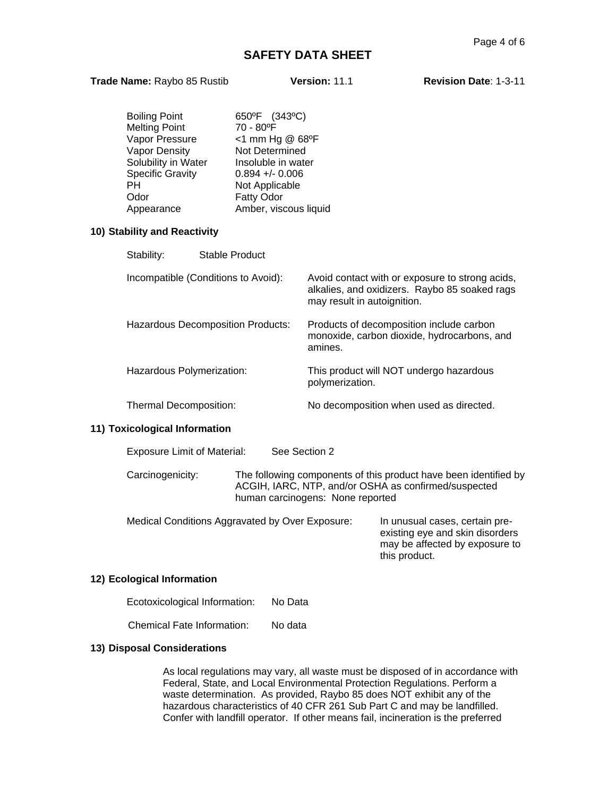#### **Trade Name:** Raybo 85 Rustib **Version:** 11.1 **Revision Date**: 1-3-11

| Boiling Point<br>Melting Point<br>Vapor Pressure<br>Vapor Density<br>Solubility in Water<br><b>Specific Gravity</b><br>PH.<br>Odor<br>Appearance | 650°F (343°C)<br>70 - 80°F<br><1 mm Hg @ 68°F<br>Not Determined<br>Insoluble in water<br>$0.894 + - 0.006$<br>Not Applicable<br>Fatty Odor<br>Amber, viscous liquid |                                                                                                                                 |
|--------------------------------------------------------------------------------------------------------------------------------------------------|---------------------------------------------------------------------------------------------------------------------------------------------------------------------|---------------------------------------------------------------------------------------------------------------------------------|
| 10) Stability and Reactivity                                                                                                                     |                                                                                                                                                                     |                                                                                                                                 |
| Stable Product<br>Stability:                                                                                                                     |                                                                                                                                                                     |                                                                                                                                 |
| Incompatible (Conditions to Avoid):                                                                                                              |                                                                                                                                                                     | Avoid contact with or exposure to strong acids,<br>alkalies, and oxidizers. Raybo 85 soaked rags<br>may result in autoignition. |
| <b>Hazardous Decomposition Products:</b>                                                                                                         |                                                                                                                                                                     | Products of decomposition include carbon<br>monoxide, carbon dioxide, hydrocarbons, and<br>amines.                              |
| Hazardous Polymerization:                                                                                                                        |                                                                                                                                                                     | This product will NOT undergo hazardous<br>polymerization.                                                                      |
| Thermal Decomposition:                                                                                                                           |                                                                                                                                                                     | No decomposition when used as directed.                                                                                         |
| 11) Tovicological Information                                                                                                                    |                                                                                                                                                                     |                                                                                                                                 |

#### **11) Toxicological Information**

| <b>Exposure Limit of Material:</b> | See Section 2                                                                                                                                                |
|------------------------------------|--------------------------------------------------------------------------------------------------------------------------------------------------------------|
| Carcinogenicity:                   | The following components of this product have been identified by<br>ACGIH, IARC, NTP, and/or OSHA as confirmed/suspected<br>human carcinogens: None reported |

Medical Conditions Aggravated by Over Exposure: In unusual cases, certain preexisting eye and skin disorders may be affected by exposure to this product.

#### **12) Ecological Information**

| Ecotoxicological Information: | No Data |
|-------------------------------|---------|
|-------------------------------|---------|

Chemical Fate Information: No data

#### **13) Disposal Considerations**

As local regulations may vary, all waste must be disposed of in accordance with Federal, State, and Local Environmental Protection Regulations. Perform a waste determination. As provided, Raybo 85 does NOT exhibit any of the hazardous characteristics of 40 CFR 261 Sub Part C and may be landfilled. Confer with landfill operator. If other means fail, incineration is the preferred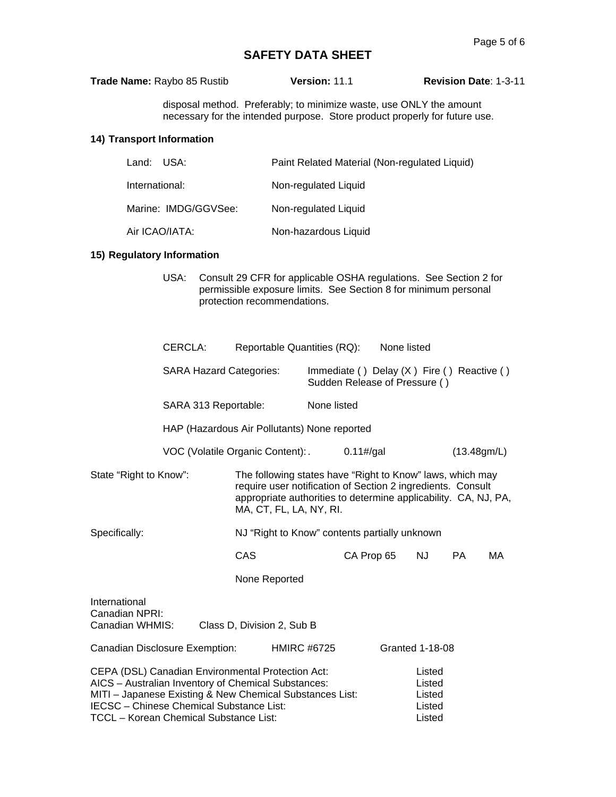| Trade Name: Raybo 85 Rustib | <b>Version: 11.1</b> | <b>Revision Date: 1-3-11</b> |
|-----------------------------|----------------------|------------------------------|
|                             |                      |                              |

disposal method. Preferably; to minimize waste, use ONLY the amount necessary for the intended purpose. Store product properly for future use.

## **14) Transport Information**

| Land: USA:           | Paint Related Material (Non-regulated Liquid) |
|----------------------|-----------------------------------------------|
| International:       | Non-regulated Liquid                          |
| Marine: IMDG/GGVSee: | Non-regulated Liquid                          |
| Air ICAO/IATA:       | Non-hazardous Liquid                          |

#### **15) Regulatory Information**

USA: Consult 29 CFR for applicable OSHA regulations. See Section 2 for permissible exposure limits. See Section 8 for minimum personal protection recommendations.

|                                                                                                                                                                                                                                                                   | CERCLA:                                      | Reportable Quantities (RQ):                                                                                                                                                                                            |                                                                               |                   | None listed |                                                |     |    |
|-------------------------------------------------------------------------------------------------------------------------------------------------------------------------------------------------------------------------------------------------------------------|----------------------------------------------|------------------------------------------------------------------------------------------------------------------------------------------------------------------------------------------------------------------------|-------------------------------------------------------------------------------|-------------------|-------------|------------------------------------------------|-----|----|
| <b>SARA Hazard Categories:</b>                                                                                                                                                                                                                                    |                                              |                                                                                                                                                                                                                        | Immediate () Delay $(X)$ Fire () Reactive ()<br>Sudden Release of Pressure () |                   |             |                                                |     |    |
|                                                                                                                                                                                                                                                                   | SARA 313 Reportable:                         | None listed                                                                                                                                                                                                            |                                                                               |                   |             |                                                |     |    |
|                                                                                                                                                                                                                                                                   | HAP (Hazardous Air Pollutants) None reported |                                                                                                                                                                                                                        |                                                                               |                   |             |                                                |     |    |
|                                                                                                                                                                                                                                                                   |                                              | VOC (Volatile Organic Content):                                                                                                                                                                                        |                                                                               | $0.11\frac{H}{g}$ |             | (13.48gm/L)                                    |     |    |
| State "Right to Know":                                                                                                                                                                                                                                            |                                              | The following states have "Right to Know" laws, which may<br>require user notification of Section 2 ingredients. Consult<br>appropriate authorities to determine applicability. CA, NJ, PA,<br>MA, CT, FL, LA, NY, RI. |                                                                               |                   |             |                                                |     |    |
| Specifically:                                                                                                                                                                                                                                                     |                                              | NJ "Right to Know" contents partially unknown                                                                                                                                                                          |                                                                               |                   |             |                                                |     |    |
|                                                                                                                                                                                                                                                                   |                                              | CAS                                                                                                                                                                                                                    |                                                                               | CA Prop 65        |             | <b>NJ</b>                                      | PA. | МA |
|                                                                                                                                                                                                                                                                   |                                              | None Reported                                                                                                                                                                                                          |                                                                               |                   |             |                                                |     |    |
| International<br>Canadian NPRI:<br>Canadian WHMIS:<br>Class D, Division 2, Sub B                                                                                                                                                                                  |                                              |                                                                                                                                                                                                                        |                                                                               |                   |             |                                                |     |    |
| Canadian Disclosure Exemption:<br><b>HMIRC #6725</b>                                                                                                                                                                                                              |                                              |                                                                                                                                                                                                                        |                                                                               |                   |             | <b>Granted 1-18-08</b>                         |     |    |
| CEPA (DSL) Canadian Environmental Protection Act:<br>AICS - Australian Inventory of Chemical Substances:<br>MITI - Japanese Existing & New Chemical Substances List:<br>IECSC - Chinese Chemical Substance List:<br><b>TCCL - Korean Chemical Substance List:</b> |                                              |                                                                                                                                                                                                                        |                                                                               |                   |             | Listed<br>Listed<br>Listed<br>Listed<br>Listed |     |    |